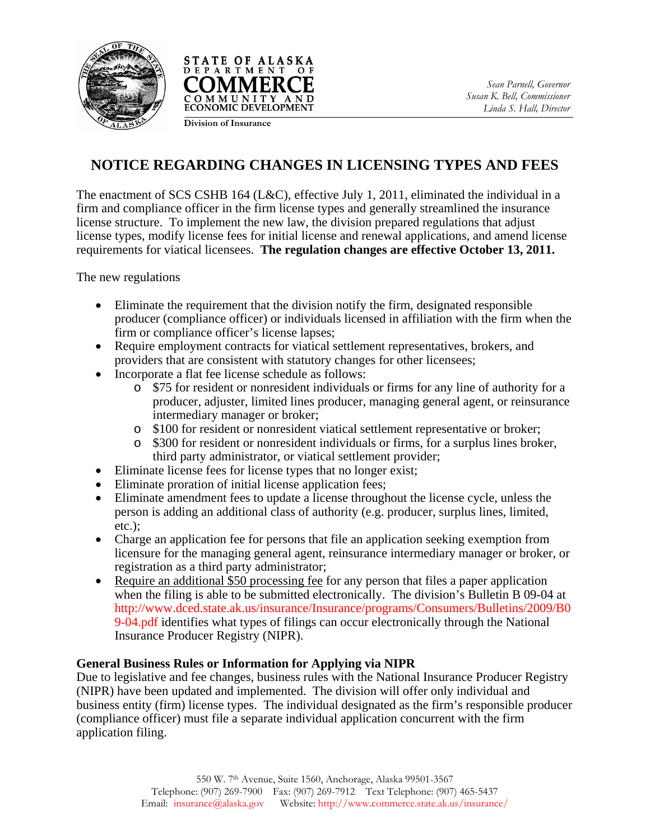



**Division of Insurance**

## **NOTICE REGARDING CHANGES IN LICENSING TYPES AND FEES**

The enactment of SCS CSHB 164 (L&C), effective July 1, 2011, eliminated the individual in a firm and compliance officer in the firm license types and generally streamlined the insurance license structure. To implement the new law, the division prepared regulations that adjust license types, modify license fees for initial license and renewal applications, and amend license requirements for viatical licensees. **The regulation changes are effective October 13, 2011.**

The new regulations

- Eliminate the requirement that the division notify the firm, designated responsible producer (compliance officer) or individuals licensed in affiliation with the firm when the firm or compliance officer's license lapses;
- Require employment contracts for viatical settlement representatives, brokers, and providers that are consistent with statutory changes for other licensees;
- Incorporate a flat fee license schedule as follows:
	- o \$75 for resident or nonresident individuals or firms for any line of authority for a producer, adjuster, limited lines producer, managing general agent, or reinsurance intermediary manager or broker;
	- o \$100 for resident or nonresident viatical settlement representative or broker;
	- o \$300 for resident or nonresident individuals or firms, for a surplus lines broker, third party administrator, or viatical settlement provider;
- Eliminate license fees for license types that no longer exist;
- Eliminate proration of initial license application fees;
- Eliminate amendment fees to update a license throughout the license cycle, unless the person is adding an additional class of authority (e.g. producer, surplus lines, limited, etc.);
- Charge an application fee for persons that file an application seeking exemption from licensure for the managing general agent, reinsurance intermediary manager or broker, or registration as a third party administrator;
- Require an additional \$50 processing fee for any person that files a paper application when the filing is able to be submitted electronically. The division's Bulletin B 09-04 at [http://www.dced.state.ak.us/insurance/Insurance/programs/Consumers/Bulletins/2009/B0](http://www.commerce.state.ak.us/insurance/Insurance/programs/Consumers/Bulletins/2009/B09-04.pdf) [9-04.pdf](http://www.commerce.state.ak.us/insurance/Insurance/programs/Consumers/Bulletins/2009/B09-04.pdf) identifies what types of filings can occur electronically through the National Insurance Producer Registry (NIPR).

## **General Business Rules or Information for Applying via NIPR**

Due to legislative and fee changes, business rules with the National Insurance Producer Registry (NIPR) have been updated and implemented. The division will offer only individual and business entity (firm) license types. The individual designated as the firm's responsible producer (compliance officer) must file a separate individual application concurrent with the firm application filing.